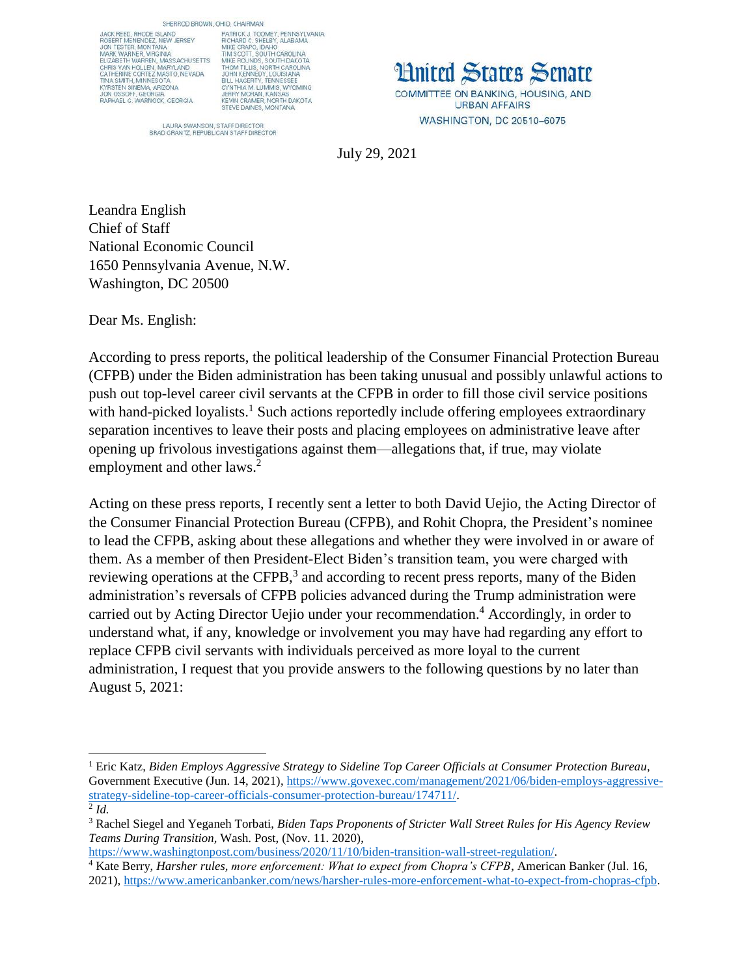JACK REED, RHODE ISLAND<br>ROBERT MENENDEZ, NEW JERSEY<br>JON TESTER, MONTANA MARK WARNER, VIRGINIA ELIZABETH WARREN, MASS ACHUSETTS ELIZABETH WARREN, MARYLAND<br>CHRIS VAN HOLLEN, MARYLAND<br>CATHERINE CORTEZ MASTO, NEVADA<br>TINA SMITH, MINNESOTA INA SMITH, MINNESOTA<br>KYRSTEN SINEMA, ARIZONA<br>JON OSSOFF, GEORGIA<br>RAPHAEL G. WARNOCK, GEORGIA

SHERROD BROWN, OHIO, CHAIRMAN PATRICK J. TOOMEY, PENNSYLVANIA<br>RICHARD C. SHELBY, ALABAMA<br>MIKE CRAPO, IDAHO<br>TIM SCOTT, SOUTH CAROLINA<br>MIKE ROUNDS, SOUTH DAKOTA<br>MIKE ROUNDS, SOUTH DAKOTA MIKE ROUNDS, SOUTH DAKOTA<br>THOM TILLIS, NORTH CAROLINA<br>JOHN KENNEDY, LOUISIANA<br>BILL HAGERTY, TENNESSEE<br>CYNTHIA M. LUMMIS, WYOMING<br>JERRY MORAN, KANSAS<br>JERRY MORAN, KANSAS<br>KEVIN CRAMER, NORTH DAKOTA<br>STEVE DAINES, MONTANA

**Hnited States Senate** COMMITTEE ON BANKING, HOUSING, AND **URBAN AFFAIRS** WASHINGTON, DC 20510-6075

LAURA SWANSON, STAFF DIRECTOR<br>BRAD GRANTZ, REPUBLICAN STAFF DIRECTOR

July 29, 2021

Leandra English Chief of Staff National Economic Council 1650 Pennsylvania Avenue, N.W. Washington, DC 20500

Dear Ms. English:

 $\overline{\phantom{a}}$ 

According to press reports, the political leadership of the Consumer Financial Protection Bureau (CFPB) under the Biden administration has been taking unusual and possibly unlawful actions to push out top-level career civil servants at the CFPB in order to fill those civil service positions with hand-picked loyalists.<sup>1</sup> Such actions reportedly include offering employees extraordinary separation incentives to leave their posts and placing employees on administrative leave after opening up frivolous investigations against them—allegations that, if true, may violate employment and other laws.<sup>2</sup>

Acting on these press reports, I recently sent a letter to both David Uejio, the Acting Director of the Consumer Financial Protection Bureau (CFPB), and Rohit Chopra, the President's nominee to lead the CFPB, asking about these allegations and whether they were involved in or aware of them. As a member of then President-Elect Biden's transition team, you were charged with reviewing operations at the CFPB, $3$  and according to recent press reports, many of the Biden administration's reversals of CFPB policies advanced during the Trump administration were carried out by Acting Director Uejio under your recommendation. <sup>4</sup> Accordingly, in order to understand what, if any, knowledge or involvement you may have had regarding any effort to replace CFPB civil servants with individuals perceived as more loyal to the current administration, I request that you provide answers to the following questions by no later than August 5, 2021:

<sup>1</sup> Eric Katz, *Biden Employs Aggressive Strategy to Sideline Top Career Officials at Consumer Protection Bureau*, Government Executive (Jun. 14, 2021), [https://www.govexec.com/management/2021/06/biden-employs-aggressive](https://www.govexec.com/management/2021/06/biden-employs-aggressive-strategy-sideline-top-career-officials-consumer-protection-bureau/174711/)[strategy-sideline-top-career-officials-consumer-protection-bureau/174711/.](https://www.govexec.com/management/2021/06/biden-employs-aggressive-strategy-sideline-top-career-officials-consumer-protection-bureau/174711/) 2 *Id.* 

<sup>3</sup> Rachel Siegel and Yeganeh Torbati, *Biden Taps Proponents of Stricter Wall Street Rules for His Agency Review Teams During Transition,* Wash. Post, (Nov. 11. 2020),

[https://www.washingtonpost.com/business/2020/11/10/biden-transition-wall-street-regulation/.](https://www.washingtonpost.com/business/2020/11/10/biden-transition-wall-street-regulation/)

<sup>4</sup> Kate Berry, *Harsher rules, more enforcement: What to expect from Chopra's CFPB*, American Banker (Jul. 16, 2021), [https://www.americanbanker.com/news/harsher-rules-more-enforcement-what-to-expect-from-chopras-cfpb.](https://www.americanbanker.com/news/harsher-rules-more-enforcement-what-to-expect-from-chopras-cfpb)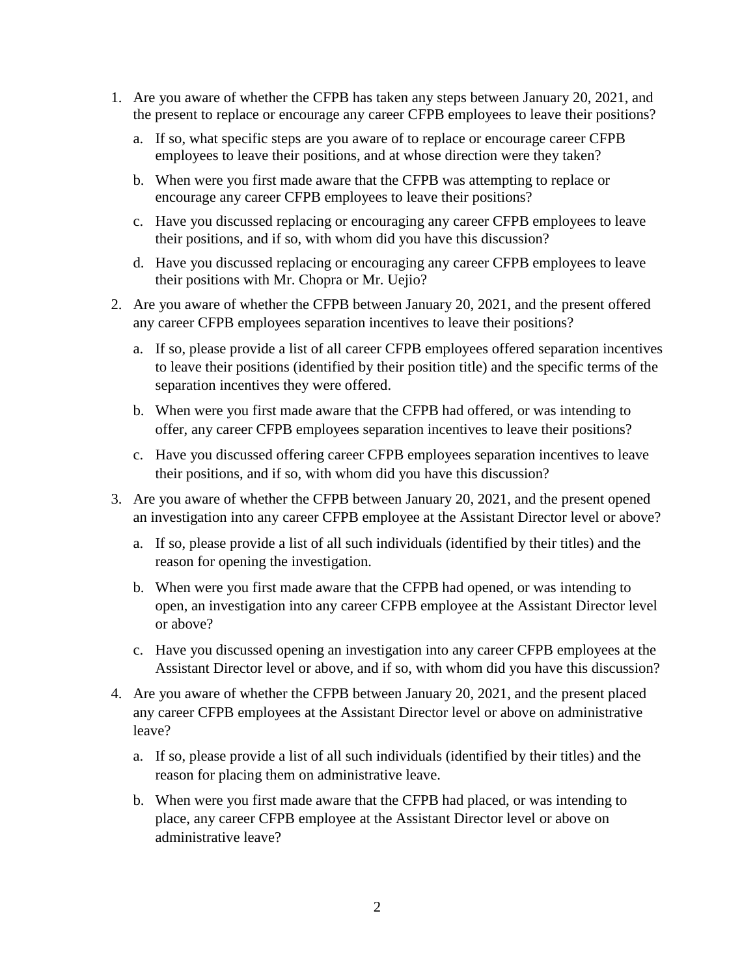- 1. Are you aware of whether the CFPB has taken any steps between January 20, 2021, and the present to replace or encourage any career CFPB employees to leave their positions?
	- a. If so, what specific steps are you aware of to replace or encourage career CFPB employees to leave their positions, and at whose direction were they taken?
	- b. When were you first made aware that the CFPB was attempting to replace or encourage any career CFPB employees to leave their positions?
	- c. Have you discussed replacing or encouraging any career CFPB employees to leave their positions, and if so, with whom did you have this discussion?
	- d. Have you discussed replacing or encouraging any career CFPB employees to leave their positions with Mr. Chopra or Mr. Uejio?
- 2. Are you aware of whether the CFPB between January 20, 2021, and the present offered any career CFPB employees separation incentives to leave their positions?
	- a. If so, please provide a list of all career CFPB employees offered separation incentives to leave their positions (identified by their position title) and the specific terms of the separation incentives they were offered.
	- b. When were you first made aware that the CFPB had offered, or was intending to offer, any career CFPB employees separation incentives to leave their positions?
	- c. Have you discussed offering career CFPB employees separation incentives to leave their positions, and if so, with whom did you have this discussion?
- 3. Are you aware of whether the CFPB between January 20, 2021, and the present opened an investigation into any career CFPB employee at the Assistant Director level or above?
	- a. If so, please provide a list of all such individuals (identified by their titles) and the reason for opening the investigation.
	- b. When were you first made aware that the CFPB had opened, or was intending to open, an investigation into any career CFPB employee at the Assistant Director level or above?
	- c. Have you discussed opening an investigation into any career CFPB employees at the Assistant Director level or above, and if so, with whom did you have this discussion?
- 4. Are you aware of whether the CFPB between January 20, 2021, and the present placed any career CFPB employees at the Assistant Director level or above on administrative leave?
	- a. If so, please provide a list of all such individuals (identified by their titles) and the reason for placing them on administrative leave.
	- b. When were you first made aware that the CFPB had placed, or was intending to place, any career CFPB employee at the Assistant Director level or above on administrative leave?